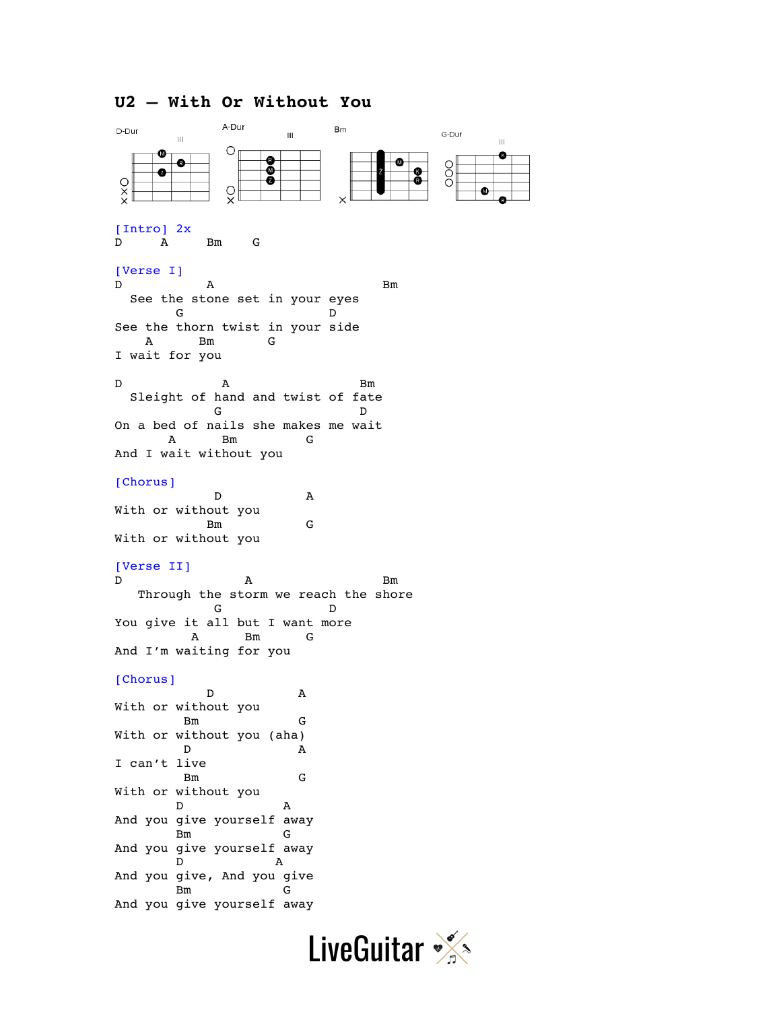# **U2 – With Or Without You**